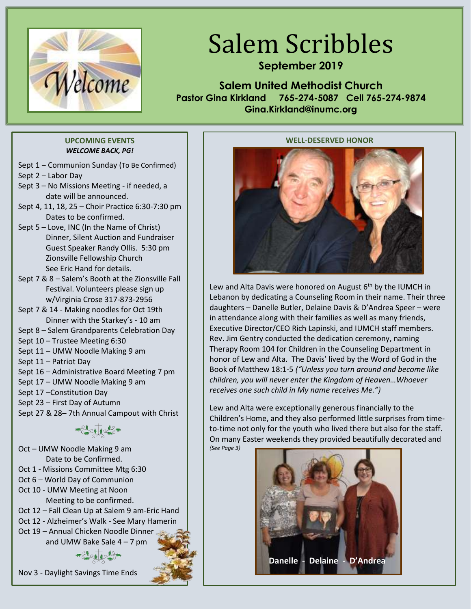

# Salem Scribbles

# **September 2019**

**Salem United Methodist Church Pastor Gina Kirkland 765-274-5087 Cell 765-274-9874 Gina.Kirkland@inumc.org**

#### **UPCOMING EVENTS** *WELCOME BACK, PG!*

- Sept 1 Communion Sunday (To Be Confirmed)
- Sept 2 Labor Day
- Sept 3 No Missions Meeting if needed, a date will be announced.
- Sept 4, 11, 18, 25 Choir Practice 6:30-7:30 pm Dates to be confirmed.
- Sept 5 Love, INC (In the Name of Christ) Dinner, Silent Auction and Fundraiser Guest Speaker Randy Ollis. 5:30 pm Zionsville Fellowship Church See Eric Hand for details.
- Sept 7 & 8 Salem's Booth at the Zionsville Fall Festival. Volunteers please sign up w/Virginia Crose 317-873-2956
- Sept 7 & 14 Making noodles for Oct 19th Dinner with the Starkey's - 10 am
- Sept 8 Salem Grandparents Celebration Day
- Sept 10 Trustee Meeting 6:30
- Sept 11 UMW Noodle Making 9 am
- Sept 11 Patriot Day
- Sept 16 Administrative Board Meeting 7 pm
- Sept 17 UMW Noodle Making 9 am
- Sept 17 –Constitution Day
- Sept 23 First Day of Autumn
- Sept 27 & 28– 7th Annual Campout with Christ

Oct – UMW Noodle Making 9 am Date to be Confirmed. Oct 1 - Missions Committee Mtg 6:30 Oct 6 – World Day of Communion Oct 10 - UMW Meeting at Noon Meeting to be confirmed. Oct 12 – Fall Clean Up at Salem 9 am-Eric Hand Oct 12 - Alzheimer's Walk - See Mary Hamerin Oct 19 – Annual Chicken Noodle Dinner and UMW Bake Sale 4 – 7 pm



#### **WELL-DESERVED HONOR**



Lew and Alta Davis were honored on August  $6<sup>th</sup>$  by the IUMCH in Lebanon by dedicating a Counseling Room in their name. Their three daughters – Danelle Butler, Delaine Davis & D'Andrea Speer – were in attendance along with their families as well as many friends, Executive Director/CEO Rich Lapinski, and IUMCH staff members. Rev. Jim Gentry conducted the dedication ceremony, naming Therapy Room 104 for Children in the Counseling Department in honor of Lew and Alta. The Davis' lived by the Word of God in the Book of Matthew 18:1-5 *("Unless you turn around and become like children, you will never enter the Kingdom of Heaven…Whoever receives one such child in My name receives Me.")*

Lew and Alta were exceptionally generous financially to the Children's Home, and they also performed little surprises from timeto-time not only for the youth who lived there but also for the staff. On many Easter weekends they provided beautifully decorated and *(See Page 3)*

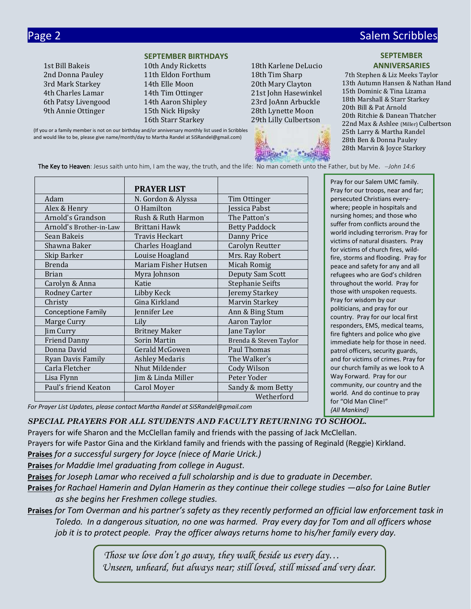Page 2 Salem Scribbles and Contract Contract Contract Contract Contract Contract Contract Contract Contract Co

#### **SEPTEMBER BIRTHDAYS**

2nd Donna Pauley 11th Eldon Forthum 18th Tim Sharp 3rd Mark Starkey 14th Elle Moon 20th Mary Clayton 4th Charles Lamar 14th Tim Ottinger 21st John Hasewinkel 6th Patsy Livengood 14th Aaron Shipley 23rd JoAnn Arbuckle 9th Annie Ottinger 15th Nick Hipsky 28th Lynette Moon 16th Starr Starkey 29th Lilly Culbertson

1st Bill Bakeis 10th Andy Ricketts 18th Karlene DeLucio



#### **SEPTEMBER ANNIVERSARIES**

 7th Stephen & Liz Meeks Taylor 13th Autumn Hansen & Nathan Hand 15th Dominic & Tina Lizama 18th Marshall & Starr Starkey 20th Bill & Pat Arnold 20th Ritchie & Danean Thatcher 22nd Max & Ashlee (Miller) Culbertson 25th Larry & Martha Randel 28th Ben & Donna Pauley 28th Marvin & Joyce Starkey

(If you or a family member is not on our birthday and/or anniversary monthly list used in Scribbles and would like to be, please give name/month/day to Martha Randel at SiSRandel@gmail.com)

The Key to Heaven: Jesus saith unto him, I am the way, the truth, and the life: No man cometh unto the Father, but by Me. *‒John 14:6*

|                           | <b>PRAYER LIST</b>    |                         |
|---------------------------|-----------------------|-------------------------|
| Adam                      | N. Gordon & Alyssa    | Tim Ottinger            |
| Alex & Henry              | O Hamilton            | Jessica Pabst           |
| Arnold's Grandson         | Rush & Ruth Harmon    | The Patton's            |
| Arnold's Brother-in-Law   | Brittani Hawk         | <b>Betty Paddock</b>    |
| Sean Bakeis               | Travis Heckart        | Danny Price             |
| Shawna Baker              | Charles Hoagland      | Carolyn Reutter         |
| Skip Barker               | Louise Hoagland       | Mrs. Ray Robert         |
| <b>Brenda</b>             | Mariam Fisher Hutsen  | Micah Romig             |
| <b>Brian</b>              | Myra Johnson          | Deputy Sam Scott        |
| Carolyn & Anna            | Katie                 | <b>Stephanie Seifts</b> |
| <b>Rodney Carter</b>      | Libby Keck            | Jeremy Starkey          |
| Christy                   | Gina Kirkland         | Marvin Starkey          |
| <b>Conceptione Family</b> | Jennifer Lee          | Ann & Bing Stum         |
| Marge Curry               | Lily                  | Aaron Taylor            |
| Jim Curry                 | <b>Britney Maker</b>  | Jane Taylor             |
| <b>Friend Danny</b>       | Sorin Martin          | Brenda & Steven Taylor  |
| Donna David               | Gerald McGowen        | Paul Thomas             |
| Ryan Davis Family         | <b>Ashley Medaris</b> | The Walker's            |
| Carla Fletcher            | Nhut Mildender        | Cody Wilson             |
| Lisa Flynn                | Jim & Linda Miller    | Peter Yoder             |
| Paul's friend Keaton      | Carol Moyer           | Sandy & mom Betty       |
|                           |                       | Wetherford              |

Pray for our Salem UMC family. Pray for our troops, near and far; persecuted Christians everywhere; people in hospitals and nursing homes; and those who suffer from conflicts around the world including terrorism. Pray for victims of natural disasters. Pray for victims of church fires, wildfire, storms and flooding. Pray for peace and safety for any and all refugees who are God's children throughout the world. Pray for those with unspoken requests. Pray for wisdom by our politicians, and pray for our country. Pray for our local first responders, EMS, medical teams, fire fighters and police who give immediate help for those in need. patrol officers, security guards, and for victims of crimes. Pray for our church family as we look to A Way Forward. Pray for our community, our country and the world. And do continue to pray for "Old Man Cline!" *{All Mankind}*

*For Prayer List Updates, please contact Martha Randel at SiSRandel@gmail.com*

#### *SPECIAL PRAYERS FOR ALL STUDENTS AND FACULTY RETURNING TO SCHOOL.*

Prayers for wife Sharon and the McClellan family and friends with the passing of Jack McClellan.

Prayers for wife Pastor Gina and the Kirkland family and friends with the passing of Reginald (Reggie) Kirkland.

**Praises** *for a successful surgery for Joyce (niece of Marie Urick.)*

**Praises** *for Maddie Imel graduating from college in August.*

**Praises** *for Joseph Lamar who received a full scholarship and is due to graduate in December.*

- **Praises** *for Rachael Hamerin and Dylan Hamerin as they continue their college studies ―also for Laine Butler as she begins her Freshmen college studies.*
- **Praises** *for Tom Overman and his partner's safety as they recently performed an official law enforcement task in Toledo. In a dangerous situation, no one was harmed. Pray every day for Tom and all officers whose job it is to protect people. Pray the officer always returns home to his/her family every day.*

 *Those we love don't go away, they walk beside us every day… Unseen, unheard, but always near; still loved, still missed and very dear.*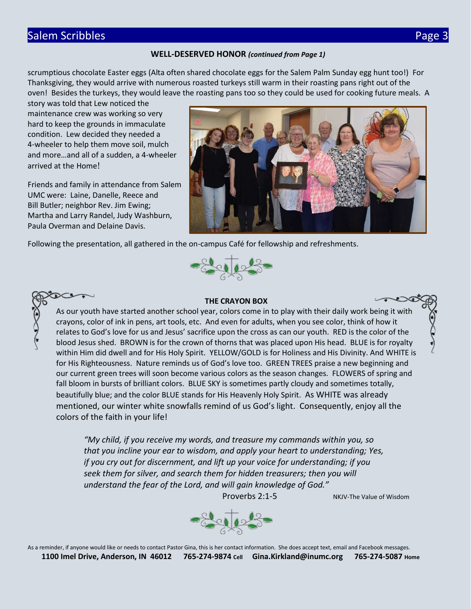# Salem Scribbles Page 3

#### **WELL-DESERVED HONOR** *(continued from Page 1)*

scrumptious chocolate Easter eggs (Alta often shared chocolate eggs for the Salem Palm Sunday egg hunt too!) For Thanksgiving, they would arrive with numerous roasted turkeys still warm in their roasting pans right out of the oven! Besides the turkeys, they would leave the roasting pans too so they could be used for cooking future meals. A

story was told that Lew noticed the maintenance crew was working so very hard to keep the grounds in immaculate condition. Lew decided they needed a 4-wheeler to help them move soil, mulch and more…and all of a sudden, a 4-wheeler arrived at the Home!

Friends and family in attendance from Salem UMC were: Laine, Danelle, Reece and Bill Butler; neighbor Rev. Jim Ewing; Martha and Larry Randel, Judy Washburn, Paula Overman and Delaine Davis.

 $\infty$ 



Following the presentation, all gathered in the on-campus Café for fellowship and refreshments.



#### **THE CRAYON BOX**

As our youth have started another school year, colors come in to play with their daily work being it with crayons, color of ink in pens, art tools, etc. And even for adults, when you see color, think of how it relates to God's love for us and Jesus' sacrifice upon the cross as can our youth. RED is the color of the blood Jesus shed. BROWN is for the crown of thorns that was placed upon His head. BLUE is for royalty within Him did dwell and for His Holy Spirit. YELLOW/GOLD is for Holiness and His Divinity. And WHITE is for His Righteousness. Nature reminds us of God's love too. GREEN TREES praise a new beginning and our current green trees will soon become various colors as the season changes. FLOWERS of spring and fall bloom in bursts of brilliant colors. BLUE SKY is sometimes partly cloudy and sometimes totally, beautifully blue; and the color BLUE stands for His Heavenly Holy Spirit. As WHITE was already mentioned, our winter white snowfalls remind of us God's light. Consequently, enjoy all the colors of the faith in your life!

*"My child, if you receive my words, and treasure my commands within you, so that you incline your ear to wisdom, and apply your heart to understanding; Yes, if you cry out for discernment, and lift up your voice for understanding; if you seek them for silver, and search them for hidden treasurers; then you will understand the fear of the Lord, and will gain knowledge of God."*

Proverbs 2:1-5 NKJV-The Value of Wisdom

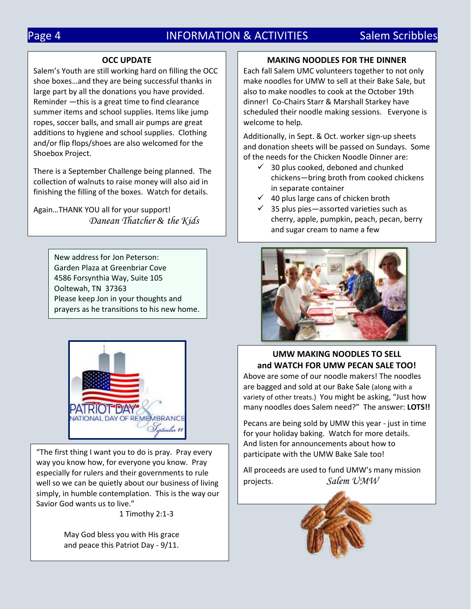# Page 4 **INFORMATION & ACTIVITIES** Salem Scribbles

#### **OCC UPDATE**

Salem's Youth are still working hard on filling the OCC shoe boxes…and they are being successful thanks in large part by all the donations you have provided. Reminder ―this is a great time to find clearance summer items and school supplies. Items like jump ropes, soccer balls, and small air pumps are great additions to hygiene and school supplies. Clothing and/or flip flops/shoes are also welcomed for the Shoebox Project.

There is a September Challenge being planned. The collection of walnuts to raise money will also aid in finishing the filling of the boxes. Watch for details.

Again…THANK YOU all for your support! *Danean Thatcher & the Kids*

> New address for Jon Peterson: Garden Plaza at Greenbriar Cove 4586 Forsynthia Way, Suite 105 Ooltewah, TN 37363 Please keep Jon in your thoughts and prayers as he transitions to his new home.



"The first thing I want you to do is pray. Pray every way you know how, for everyone you know. Pray especially for rulers and their governments to rule well so we can be quietly about our business of living simply, in humble contemplation. This is the way our Savior God wants us to live."

1 Timothy 2:1-3

May God bless you with His grace and peace this Patriot Day - 9/11.

#### **MAKING NOODLES FOR THE DINNER**

Each fall Salem UMC volunteers together to not only make noodles for UMW to sell at their Bake Sale, but also to make noodles to cook at the October 19th dinner! Co-Chairs Starr & Marshall Starkey have scheduled their noodle making sessions. Everyone is welcome to help.

Additionally, in Sept. & Oct. worker sign-up sheets and donation sheets will be passed on Sundays. Some of the needs for the Chicken Noodle Dinner are:

- $\checkmark$  30 plus cooked, deboned and chunked chickens―bring broth from cooked chickens in separate container
- $\checkmark$  40 plus large cans of chicken broth
- $\checkmark$  35 plus pies—assorted varieties such as cherry, apple, pumpkin, peach, pecan, berry and sugar cream to name a few



#### **UMW MAKING NOODLES TO SELL and WATCH FOR UMW PECAN SALE TOO!** Above are some of our noodle makers! The noodles are bagged and sold at our Bake Sale (along with a variety of other treats.) You might be asking, "Just how many noodles does Salem need?" The answer: **LOTS!!**

Pecans are being sold by UMW this year - just in time for your holiday baking. Watch for more details. And listen for announcements about how to participate with the UMW Bake Sale too!

All proceeds are used to fund UMW's many mission projects. *Salem UMW*

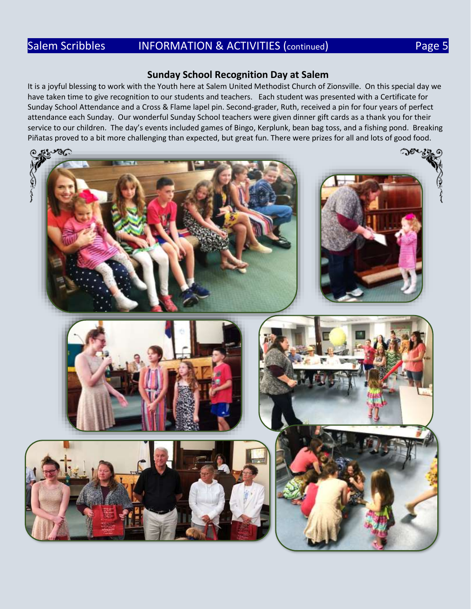# Salem Scribbles INFORMATION & ACTIVITIES (continued) Rage 5

### **Sunday School Recognition Day at Salem**

It is a joyful blessing to work with the Youth here at Salem United Methodist Church of Zionsville. On this special day we have taken time to give recognition to our students and teachers. Each student was presented with a Certificate for Sunday School Attendance and a Cross & Flame lapel pin. Second-grader, Ruth, received a pin for four years of perfect attendance each Sunday. Our wonderful Sunday School teachers were given dinner gift cards as a thank you for their service to our children. The day's events included games of Bingo, Kerplunk, bean bag toss, and a fishing pond. Breaking Piñatas proved to a bit more challenging than expected, but great fun. There were prizes for all and lots of good food.

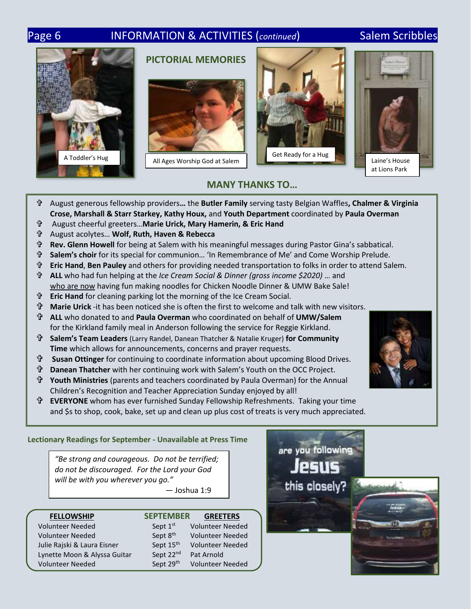# Page 6 **INFORMATION & ACTIVITIES (***continued*) Salem Scribbles









### **MANY THANKS TO…**

- August generous fellowship providers**…** the **Butler Family** serving tasty Belgian Waffles**, Chalmer & Virginia Crose, Marshall & Starr Starkey, Kathy Houx,** and **Youth Department** coordinated by **Paula Overman**
- August cheerful greeters…**Marie Urick, Mary Hamerin, & Eric Hand**
- August acolytes… **Wolf, Ruth, Haven & Rebecca**
- **Rev. Glenn Howell** for being at Salem with his meaningful messages during Pastor Gina's sabbatical.
- **Salem's choir** for its special for communion… 'In Remembrance of Me' and Come Worship Prelude.
- **Eric Hand**, **Ben Pauley** and others for providing needed transportation to folks in order to attend Salem.
- **ALL** who had fun helping at the *Ice Cream Social & Dinner (gross income \$2020)* … and who are now having fun making noodles for Chicken Noodle Dinner & UMW Bake Sale!
- **Eric Hand** for cleaning parking lot the morning of the Ice Cream Social.
- **Marie Urick** -it has been noticed she is often the first to welcome and talk with new visitors.
- **ALL** who donated to and **Paula Overman** who coordinated on behalf of **UMW/Salem** for the Kirkland family meal in Anderson following the service for Reggie Kirkland.
- **Salem's Team Leaders** (Larry Randel, Danean Thatcher & Natalie Kruger) **for Community Time** which allows for announcements, concerns and prayer requests.
- **Susan Ottinger** for continuing to coordinate information about upcoming Blood Drives.
- **Danean Thatcher** with her continuing work with Salem's Youth on the OCC Project.
- **Youth Ministries** (parents and teachers coordinated by Paula Overman) for the Annual Children's Recognition and Teacher Appreciation Sunday enjoyed by all!
- **EVERYONE** whom has ever furnished Sunday Fellowship Refreshments. Taking your time and \$s to shop, cook, bake, set up and clean up plus cost of treats is very much appreciated.

#### **Lectionary Readings for September - Unavailable at Press Time**

*"Be strong and courageous. Do not be terrified; do not be discouraged. For the Lord your God will be with you wherever you go."*

― Joshua 1:9

| <b>FELLOWSHIP</b>            | <b>SEPTEMBER</b>      | <b>GREETERS</b>         |
|------------------------------|-----------------------|-------------------------|
| <b>Volunteer Needed</b>      | Sept 1st              | <b>Volunteer Needed</b> |
| <b>Volunteer Needed</b>      | Sept 8 <sup>th</sup>  | <b>Volunteer Needed</b> |
| Julie Rajski & Laura Eisner  | Sept 15 <sup>th</sup> | <b>Volunteer Needed</b> |
| Lynette Moon & Alyssa Guitar | Sept 22nd             | Pat Arnold              |
| <b>Volunteer Needed</b>      | Sept 29th             | <b>Volunteer Needed</b> |







# **PICTORIAL MEMORIES**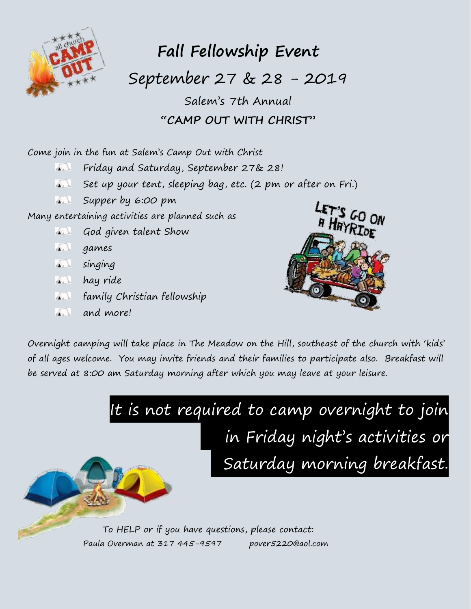

# **Fall Fellowship Event**

September 27 & 28 - 2019

Salem's 7th Annual **"CAMP OUT WITH CHRIST"**

Come join in the fun at Salem's Camp Out with Christ

- Friday and Saturday, September 27& 28!  $\mathbf{A}$
- Set up your tent, sleeping bag, etc. (2 pm or after on Fri.)  $\mathbf{A}$
- Supper by 6:00 pm  $\mathcal{L}$

Many entertaining activities are planned such as

- **God given talent Show**
- **A.** games
- **A.** singing
- **A.** hay ride
- family Christian fellowship
- and more!



Overnight camping will take place in The Meadow on the Hill, southeast of the church with 'kids' of all ages welcome. You may invite friends and their families to participate also. Breakfast will be served at 8:00 am Saturday morning after which you may leave at your leisure.



To HELP or if you have questions, please contact: Paula Overman at 317 445-9597 pover5220@aol.com